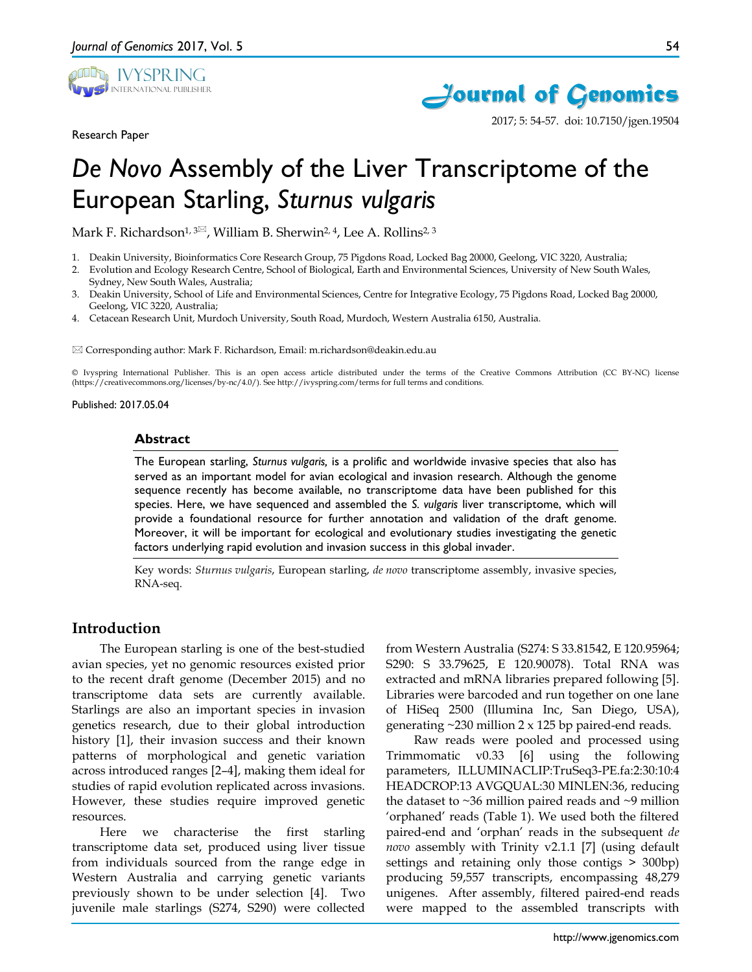

Research Paper



2017; 5: 54-57. doi: 10.7150/jgen.19504

# *De Novo* Assembly of the Liver Transcriptome of the European Starling, *Sturnus vulgaris*

Mark F. Richardson<sup>1, 3 $\approx$ , William B. Sherwin<sup>2, 4</sup>, Lee A. Rollins<sup>2, 3</sup></sup>

- 1. Deakin University, Bioinformatics Core Research Group, 75 Pigdons Road, Locked Bag 20000, Geelong, VIC 3220, Australia;
- 2. Evolution and Ecology Research Centre, School of Biological, Earth and Environmental Sciences, University of New South Wales, Sydney, New South Wales, Australia;
- 3. Deakin University, School of Life and Environmental Sciences, Centre for Integrative Ecology, 75 Pigdons Road, Locked Bag 20000, Geelong, VIC 3220, Australia;
- 4. Cetacean Research Unit, Murdoch University, South Road, Murdoch, Western Australia 6150, Australia.

Corresponding author: Mark F. Richardson, Email: m.richardson@deakin.edu.au

© Ivyspring International Publisher. This is an open access article distributed under the terms of the Creative Commons Attribution (CC BY-NC) license (https://creativecommons.org/licenses/by-nc/4.0/). See http://ivyspring.com/terms for full terms and conditions.

#### Published: 2017.05.04

#### **Abstract**

The European starling, *Sturnus vulgaris,* is a prolific and worldwide invasive species that also has served as an important model for avian ecological and invasion research. Although the genome sequence recently has become available, no transcriptome data have been published for this species. Here, we have sequenced and assembled the *S. vulgaris* liver transcriptome, which will provide a foundational resource for further annotation and validation of the draft genome. Moreover, it will be important for ecological and evolutionary studies investigating the genetic factors underlying rapid evolution and invasion success in this global invader.

Key words: *Sturnus vulgaris*, European starling, *de novo* transcriptome assembly, invasive species, RNA-seq.

# **Introduction**

The European starling is one of the best-studied avian species, yet no genomic resources existed prior to the recent draft genome (December 2015) and no transcriptome data sets are currently available. Starlings are also an important species in invasion genetics research, due to their global introduction history [1], their invasion success and their known patterns of morphological and genetic variation across introduced ranges [2–4], making them ideal for studies of rapid evolution replicated across invasions. However, these studies require improved genetic resources.

Here we characterise the first starling transcriptome data set, produced using liver tissue from individuals sourced from the range edge in Western Australia and carrying genetic variants previously shown to be under selection [4]. Two juvenile male starlings (S274, S290) were collected from Western Australia (S274: S 33.81542, E 120.95964; S290: S 33.79625, E 120.90078). Total RNA was extracted and mRNA libraries prepared following [5]. Libraries were barcoded and run together on one lane of HiSeq 2500 (Illumina Inc, San Diego, USA), generating ~230 million 2 x 125 bp paired-end reads.

Raw reads were pooled and processed using Trimmomatic v0.33 [6] using the following parameters, ILLUMINACLIP:TruSeq3-PE.fa:2:30:10:4 HEADCROP:13 AVGQUAL:30 MINLEN:36, reducing the dataset to  $\sim$ 36 million paired reads and  $\sim$ 9 million 'orphaned' reads (Table 1). We used both the filtered paired-end and 'orphan' reads in the subsequent *de novo* assembly with Trinity v2.1.1 [7] (using default settings and retaining only those contigs > 300bp) producing 59,557 transcripts, encompassing 48,279 unigenes. After assembly, filtered paired-end reads were mapped to the assembled transcripts with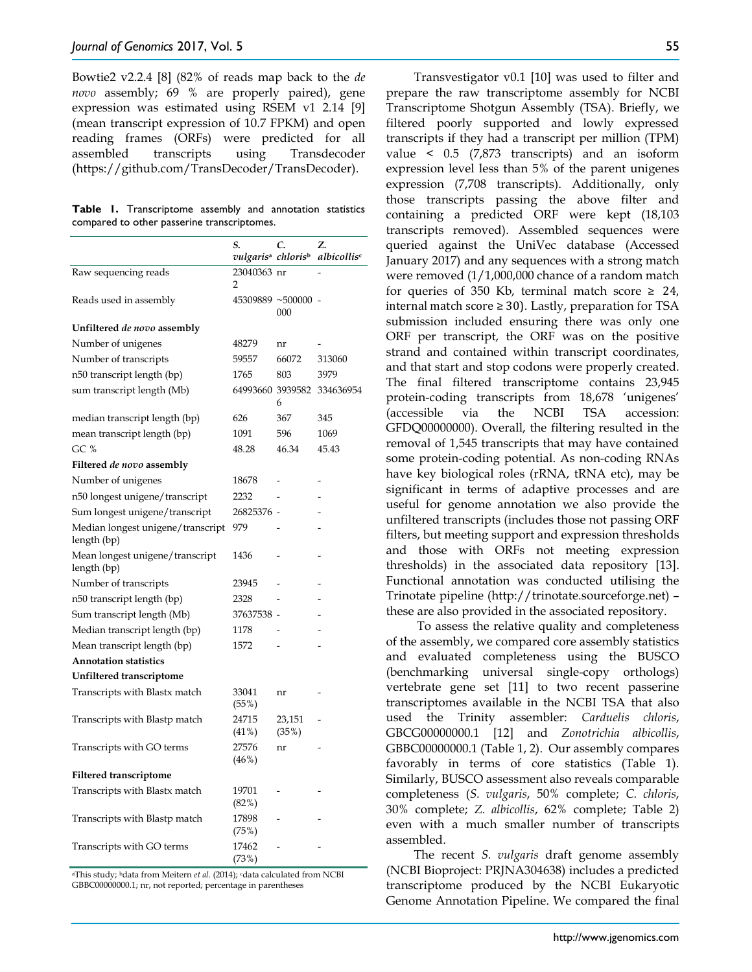Bowtie2 v2.2.4 [8] (82% of reads map back to the *de novo* assembly; 69 % are properly paired), gene expression was estimated using RSEM v1 2.14 [9] (mean transcript expression of 10.7 FPKM) and open reading frames (ORFs) were predicted for all assembled transcripts using Transdecoder (https://github.com/TransDecoder/TransDecoder).

**Table 1.** Transcriptome assembly and annotation statistics compared to other passerine transcriptomes.

|                                                  | S.                             | C.              | Z.                      |
|--------------------------------------------------|--------------------------------|-----------------|-------------------------|
|                                                  | vulgarisª chloris <sup>ь</sup> |                 | albicollis <sup>e</sup> |
| Raw sequencing reads                             | 23040363 nr<br>2               |                 |                         |
| Reads used in assembly                           | 45309889 ~500000 -             | 000             |                         |
| Unfiltered <i>de novo</i> assembly               |                                |                 |                         |
| Number of unigenes                               | 48279                          | nr              |                         |
| Number of transcripts                            | 59557                          | 66072           | 313060                  |
| n50 transcript length (bp)                       | 1765                           | 803             | 3979                    |
| sum transcript length (Mb)                       | 64993660 3939582               | 6               | 334636954               |
| median transcript length (bp)                    | 626                            | 367             | 345                     |
| mean transcript length (bp)                      | 1091                           | 596             | 1069                    |
| GC %                                             | 48.28                          | 46.34           | 45.43                   |
| Filtered de novo assembly                        |                                |                 |                         |
| Number of unigenes                               | 18678                          |                 |                         |
| n50 longest unigene/transcript                   | 2232                           |                 |                         |
| Sum longest unigene/transcript                   | 26825376 -                     |                 |                         |
| Median longest unigene/transcript<br>length (bp) | 979                            |                 |                         |
| Mean longest unigene/transcript<br>length (bp)   | 1436                           |                 |                         |
| Number of transcripts                            | 23945                          |                 |                         |
| n50 transcript length (bp)                       | 2328                           |                 |                         |
| Sum transcript length (Mb)                       | 37637538 -                     |                 |                         |
| Median transcript length (bp)                    | 1178                           |                 |                         |
| Mean transcript length (bp)                      | 1572                           |                 |                         |
| <b>Annotation statistics</b>                     |                                |                 |                         |
| Unfiltered transcriptome                         |                                |                 |                         |
| Transcripts with Blastx match                    | 33041<br>(55%)                 | nr              |                         |
| Transcripts with Blastp match                    | 24715<br>$(41\%)$              | 23,151<br>(35%) |                         |
| Transcripts with GO terms                        | 27576<br>(46%)                 | nr              |                         |
| <b>Filtered transcriptome</b>                    |                                |                 |                         |
| Transcripts with Blastx match                    | 19701<br>(82%)                 |                 |                         |
| Transcripts with Blastp match                    | 17898<br>(75%)                 |                 |                         |
| Transcripts with GO terms                        | 17462<br>(73%)                 |                 |                         |

aThis study; bdata from Meitern *et al*. (2014); cdata calculated from NCBI GBBC00000000.1; nr, not reported; percentage in parentheses

Transvestigator v0.1 [10] was used to filter and prepare the raw transcriptome assembly for NCBI Transcriptome Shotgun Assembly (TSA). Briefly, we filtered poorly supported and lowly expressed transcripts if they had a transcript per million (TPM) value < 0.5 (7,873 transcripts) and an isoform expression level less than 5% of the parent unigenes expression (7,708 transcripts). Additionally, only those transcripts passing the above filter and containing a predicted ORF were kept (18,103 transcripts removed). Assembled sequences were queried against the UniVec database (Accessed January 2017) and any sequences with a strong match were removed (1/1,000,000 chance of a random match for queries of 350 Kb, terminal match score  $\geq$  24, internal match score  $\geq$  30). Lastly, preparation for TSA submission included ensuring there was only one ORF per transcript, the ORF was on the positive strand and contained within transcript coordinates, and that start and stop codons were properly created. The final filtered transcriptome contains 23,945 protein-coding transcripts from 18,678 'unigenes' (accessible via the NCBI TSA accession: GFDQ00000000). Overall, the filtering resulted in the removal of 1,545 transcripts that may have contained some protein-coding potential. As non-coding RNAs have key biological roles (rRNA, tRNA etc), may be significant in terms of adaptive processes and are useful for genome annotation we also provide the unfiltered transcripts (includes those not passing ORF filters, but meeting support and expression thresholds and those with ORFs not meeting expression thresholds) in the associated data repository [13]. Functional annotation was conducted utilising the Trinotate pipeline (http://trinotate.sourceforge.net) – these are also provided in the associated repository.

To assess the relative quality and completeness of the assembly, we compared core assembly statistics and evaluated completeness using the BUSCO (benchmarking universal single-copy orthologs) vertebrate gene set [11] to two recent passerine transcriptomes available in the NCBI TSA that also used the Trinity assembler: *Carduelis chloris*, GBCG00000000.1 [12] and *Zonotrichia albicollis*, GBBC00000000.1 (Table 1, 2). Our assembly compares favorably in terms of core statistics (Table 1). Similarly, BUSCO assessment also reveals comparable completeness (*S. vulgaris*, 50% complete; *C. chloris*, 30% complete; *Z. albicollis*, 62% complete; Table 2) even with a much smaller number of transcripts assembled.

The recent *S. vulgaris* draft genome assembly (NCBI Bioproject: PRJNA304638) includes a predicted transcriptome produced by the NCBI Eukaryotic Genome Annotation Pipeline. We compared the final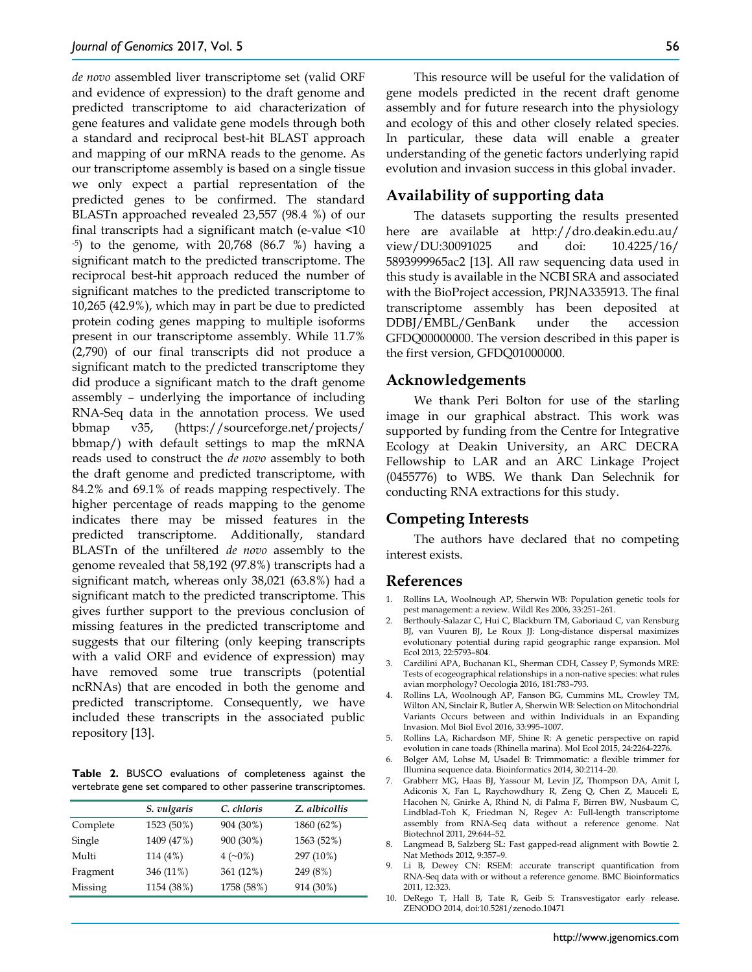*de novo* assembled liver transcriptome set (valid ORF and evidence of expression) to the draft genome and predicted transcriptome to aid characterization of gene features and validate gene models through both a standard and reciprocal best-hit BLAST approach and mapping of our mRNA reads to the genome. As our transcriptome assembly is based on a single tissue we only expect a partial representation of the predicted genes to be confirmed. The standard BLASTn approached revealed 23,557 (98.4 %) of our final transcripts had a significant match (e-value  $\leq 10$ <br>-<sup>5</sup>) to the genome, with 20,768 (86.7 %) having a significant match to the predicted transcriptome. The reciprocal best-hit approach reduced the number of significant matches to the predicted transcriptome to 10,265 (42.9%), which may in part be due to predicted protein coding genes mapping to multiple isoforms present in our transcriptome assembly. While 11.7% (2,790) of our final transcripts did not produce a significant match to the predicted transcriptome they did produce a significant match to the draft genome assembly – underlying the importance of including RNA-Seq data in the annotation process. We used bbmap v35, (https://sourceforge.net/projects/ bbmap/) with default settings to map the mRNA reads used to construct the *de novo* assembly to both the draft genome and predicted transcriptome, with 84.2% and 69.1% of reads mapping respectively. The higher percentage of reads mapping to the genome indicates there may be missed features in the predicted transcriptome. Additionally, standard BLASTn of the unfiltered *de novo* assembly to the genome revealed that 58,192 (97.8%) transcripts had a significant match, whereas only 38,021 (63.8%) had a significant match to the predicted transcriptome. This gives further support to the previous conclusion of missing features in the predicted transcriptome and suggests that our filtering (only keeping transcripts with a valid ORF and evidence of expression) may have removed some true transcripts (potential ncRNAs) that are encoded in both the genome and predicted transcriptome. Consequently, we have included these transcripts in the associated public repository [13].

**Table 2.** BUSCO evaluations of completeness against the vertebrate gene set compared to other passerine transcriptomes.

| S. vulgaris | C. chloris | Z. albicollis |
|-------------|------------|---------------|
| 1523 (50%)  | 904 (30%)  | 1860 (62%)    |
| 1409 (47%)  | 900 (30%)  | 1563 (52%)    |
| 114 (4%)    |            | 297 (10%)     |
| 346 (11%)   | 361 (12%)  | 249 (8%)      |
| 1154 (38%)  | 1758 (58%) | 914 (30%)     |
|             |            | $4(-0\%)$     |

This resource will be useful for the validation of gene models predicted in the recent draft genome assembly and for future research into the physiology and ecology of this and other closely related species. In particular, these data will enable a greater understanding of the genetic factors underlying rapid evolution and invasion success in this global invader.

# **Availability of supporting data**

The datasets supporting the results presented here are available at http://dro.deakin.edu.au/ view/DU:30091025 and doi: 10.4225/16/ 5893999965ac2 [13]. All raw sequencing data used in this study is available in the NCBI SRA and associated with the BioProject accession, PRJNA335913. The final transcriptome assembly has been deposited at DDBJ/EMBL/GenBank under the accession GFDQ00000000. The version described in this paper is the first version, GFDQ01000000.

## **Acknowledgements**

We thank Peri Bolton for use of the starling image in our graphical abstract. This work was supported by funding from the Centre for Integrative Ecology at Deakin University, an ARC DECRA Fellowship to LAR and an ARC Linkage Project (0455776) to WBS. We thank Dan Selechnik for conducting RNA extractions for this study.

## **Competing Interests**

The authors have declared that no competing interest exists.

### **References**

- 1. Rollins LA, Woolnough AP, Sherwin WB: Population genetic tools for pest management: a review. Wildl Res 2006, 33:251–261.
- 2. Berthouly-Salazar C, Hui C, Blackburn TM, Gaboriaud C, van Rensburg BJ, van Vuuren BJ, Le Roux JJ: Long-distance dispersal maximizes evolutionary potential during rapid geographic range expansion. Mol Ecol 2013, 22:5793–804.
- 3. Cardilini APA, Buchanan KL, Sherman CDH, Cassey P, Symonds MRE: Tests of ecogeographical relationships in a non-native species: what rules avian morphology? Oecologia 2016, 181:783–793.
- 4. Rollins LA, Woolnough AP, Fanson BG, Cummins ML, Crowley TM, Wilton AN, Sinclair R, Butler A, Sherwin WB: Selection on Mitochondrial Variants Occurs between and within Individuals in an Expanding Invasion. Mol Biol Evol 2016, 33:995–1007.
- 5. Rollins LA, Richardson MF, Shine R: A genetic perspective on rapid evolution in cane toads (Rhinella marina). Mol Ecol 2015, 24:2264-2276.
- 6. Bolger AM, Lohse M, Usadel B: Trimmomatic: a flexible trimmer for Illumina sequence data. Bioinformatics 2014, 30:2114–20.
- 7. Grabherr MG, Haas BJ, Yassour M, Levin JZ, Thompson DA, Amit I, Adiconis X, Fan L, Raychowdhury R, Zeng Q, Chen Z, Mauceli E, Hacohen N, Gnirke A, Rhind N, di Palma F, Birren BW, Nusbaum C, Lindblad-Toh K, Friedman N, Regev A: Full-length transcriptome assembly from RNA-Seq data without a reference genome. Nat Biotechnol 2011, 29:644–52.
- 8. Langmead B, Salzberg SL: Fast gapped-read alignment with Bowtie 2. Nat Methods 2012, 9:357–9.
- Li B, Dewey CN: RSEM: accurate transcript quantification from RNA-Seq data with or without a reference genome. BMC Bioinformatics 2011, 12:323.
- 10. DeRego T, Hall B, Tate R, Geib S: Transvestigator early release. ZENODO 2014, doi:10.5281/zenodo.10471